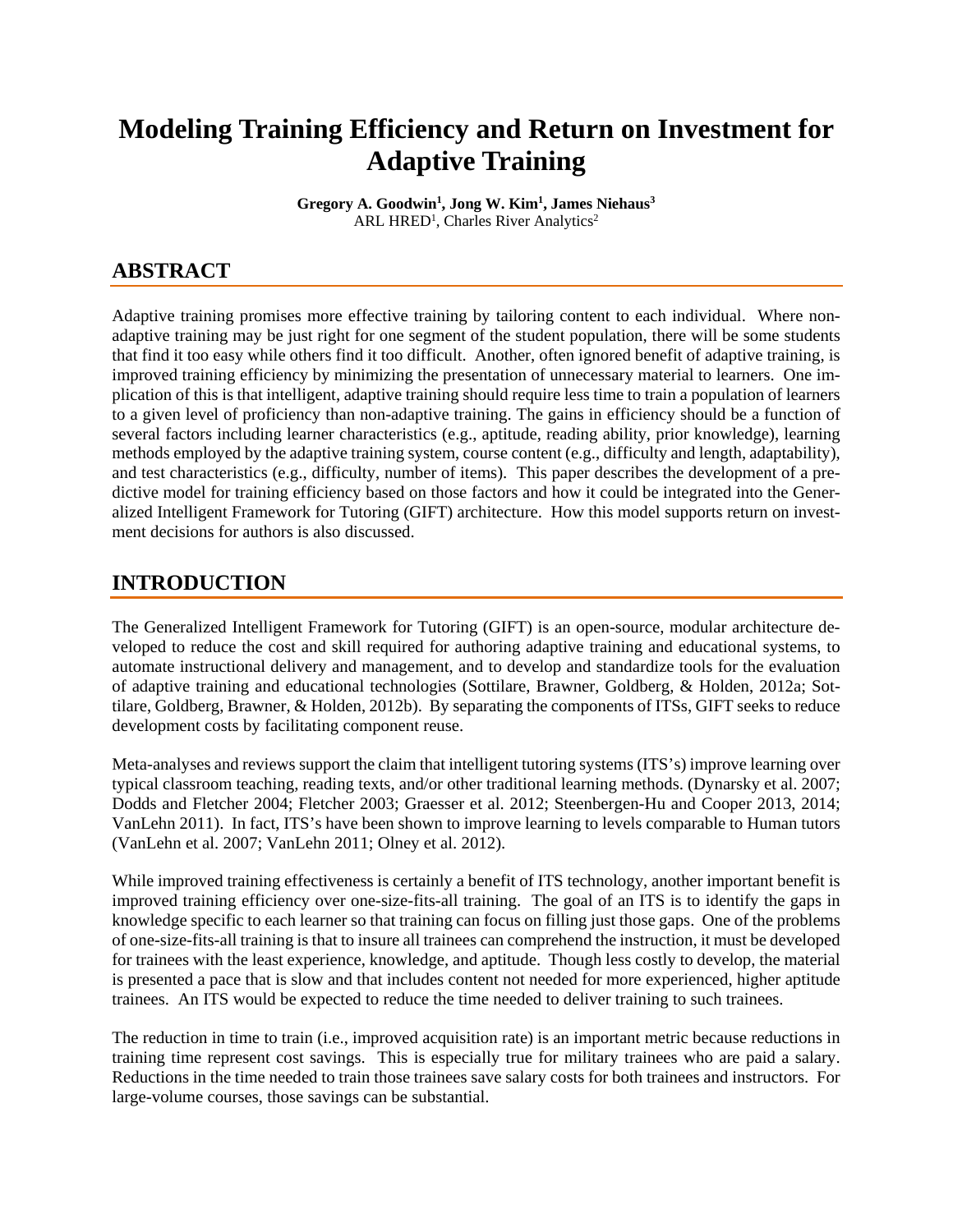# **Modeling Training Efficiency and Return on Investment for Adaptive Training**

**Gregory A. Goodwin1 , Jong W. Kim1 , James Niehaus3** ARL HRED<sup>1</sup>, Charles River Analytics<sup>2</sup>

# **ABSTRACT**

Adaptive training promises more effective training by tailoring content to each individual. Where nonadaptive training may be just right for one segment of the student population, there will be some students that find it too easy while others find it too difficult. Another, often ignored benefit of adaptive training, is improved training efficiency by minimizing the presentation of unnecessary material to learners. One implication of this is that intelligent, adaptive training should require less time to train a population of learners to a given level of proficiency than non-adaptive training. The gains in efficiency should be a function of several factors including learner characteristics (e.g., aptitude, reading ability, prior knowledge), learning methods employed by the adaptive training system, course content (e.g., difficulty and length, adaptability), and test characteristics (e.g., difficulty, number of items). This paper describes the development of a predictive model for training efficiency based on those factors and how it could be integrated into the Generalized Intelligent Framework for Tutoring (GIFT) architecture. How this model supports return on investment decisions for authors is also discussed.

# **INTRODUCTION**

The Generalized Intelligent Framework for Tutoring (GIFT) is an open-source, modular architecture developed to reduce the cost and skill required for authoring adaptive training and educational systems, to automate instructional delivery and management, and to develop and standardize tools for the evaluation of adaptive training and educational technologies (Sottilare, Brawner, Goldberg, & Holden, 2012a; Sottilare, Goldberg, Brawner, & Holden, 2012b). By separating the components of ITSs, GIFT seeks to reduce development costs by facilitating component reuse.

Meta-analyses and reviews support the claim that intelligent tutoring systems (ITS's) improve learning over typical classroom teaching, reading texts, and/or other traditional learning methods. (Dynarsky et al. 2007; Dodds and Fletcher 2004; Fletcher 2003; Graesser et al. 2012; Steenbergen-Hu and Cooper 2013, 2014; VanLehn 2011). In fact, ITS's have been shown to improve learning to levels comparable to Human tutors (VanLehn et al. 2007; VanLehn 2011; Olney et al. 2012).

While improved training effectiveness is certainly a benefit of ITS technology, another important benefit is improved training efficiency over one-size-fits-all training. The goal of an ITS is to identify the gaps in knowledge specific to each learner so that training can focus on filling just those gaps. One of the problems of one-size-fits-all training is that to insure all trainees can comprehend the instruction, it must be developed for trainees with the least experience, knowledge, and aptitude. Though less costly to develop, the material is presented a pace that is slow and that includes content not needed for more experienced, higher aptitude trainees. An ITS would be expected to reduce the time needed to deliver training to such trainees.

The reduction in time to train (i.e., improved acquisition rate) is an important metric because reductions in training time represent cost savings. This is especially true for military trainees who are paid a salary. Reductions in the time needed to train those trainees save salary costs for both trainees and instructors. For large-volume courses, those savings can be substantial.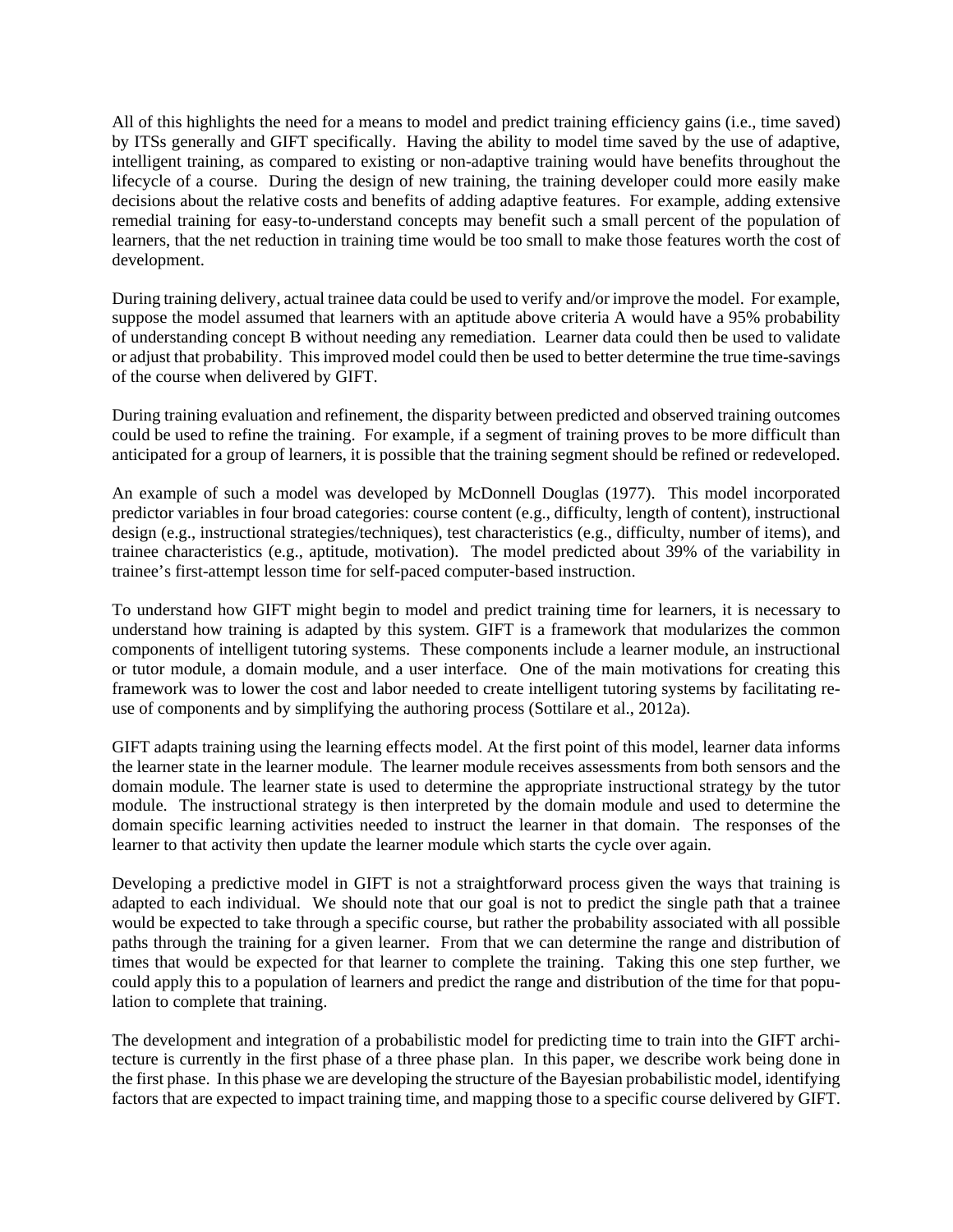All of this highlights the need for a means to model and predict training efficiency gains (i.e., time saved) by ITSs generally and GIFT specifically. Having the ability to model time saved by the use of adaptive, intelligent training, as compared to existing or non-adaptive training would have benefits throughout the lifecycle of a course. During the design of new training, the training developer could more easily make decisions about the relative costs and benefits of adding adaptive features. For example, adding extensive remedial training for easy-to-understand concepts may benefit such a small percent of the population of learners, that the net reduction in training time would be too small to make those features worth the cost of development.

During training delivery, actual trainee data could be used to verify and/or improve the model. For example, suppose the model assumed that learners with an aptitude above criteria A would have a 95% probability of understanding concept B without needing any remediation. Learner data could then be used to validate or adjust that probability. This improved model could then be used to better determine the true time-savings of the course when delivered by GIFT.

During training evaluation and refinement, the disparity between predicted and observed training outcomes could be used to refine the training. For example, if a segment of training proves to be more difficult than anticipated for a group of learners, it is possible that the training segment should be refined or redeveloped.

An example of such a model was developed by McDonnell Douglas (1977). This model incorporated predictor variables in four broad categories: course content (e.g., difficulty, length of content), instructional design (e.g., instructional strategies/techniques), test characteristics (e.g., difficulty, number of items), and trainee characteristics (e.g., aptitude, motivation). The model predicted about 39% of the variability in trainee's first-attempt lesson time for self-paced computer-based instruction.

To understand how GIFT might begin to model and predict training time for learners, it is necessary to understand how training is adapted by this system. GIFT is a framework that modularizes the common components of intelligent tutoring systems. These components include a learner module, an instructional or tutor module, a domain module, and a user interface. One of the main motivations for creating this framework was to lower the cost and labor needed to create intelligent tutoring systems by facilitating reuse of components and by simplifying the authoring process (Sottilare et al., 2012a).

GIFT adapts training using the learning effects model. At the first point of this model, learner data informs the learner state in the learner module. The learner module receives assessments from both sensors and the domain module. The learner state is used to determine the appropriate instructional strategy by the tutor module. The instructional strategy is then interpreted by the domain module and used to determine the domain specific learning activities needed to instruct the learner in that domain. The responses of the learner to that activity then update the learner module which starts the cycle over again.

Developing a predictive model in GIFT is not a straightforward process given the ways that training is adapted to each individual. We should note that our goal is not to predict the single path that a trainee would be expected to take through a specific course, but rather the probability associated with all possible paths through the training for a given learner. From that we can determine the range and distribution of times that would be expected for that learner to complete the training. Taking this one step further, we could apply this to a population of learners and predict the range and distribution of the time for that population to complete that training.

The development and integration of a probabilistic model for predicting time to train into the GIFT architecture is currently in the first phase of a three phase plan. In this paper, we describe work being done in the first phase. In this phase we are developing the structure of the Bayesian probabilistic model, identifying factors that are expected to impact training time, and mapping those to a specific course delivered by GIFT.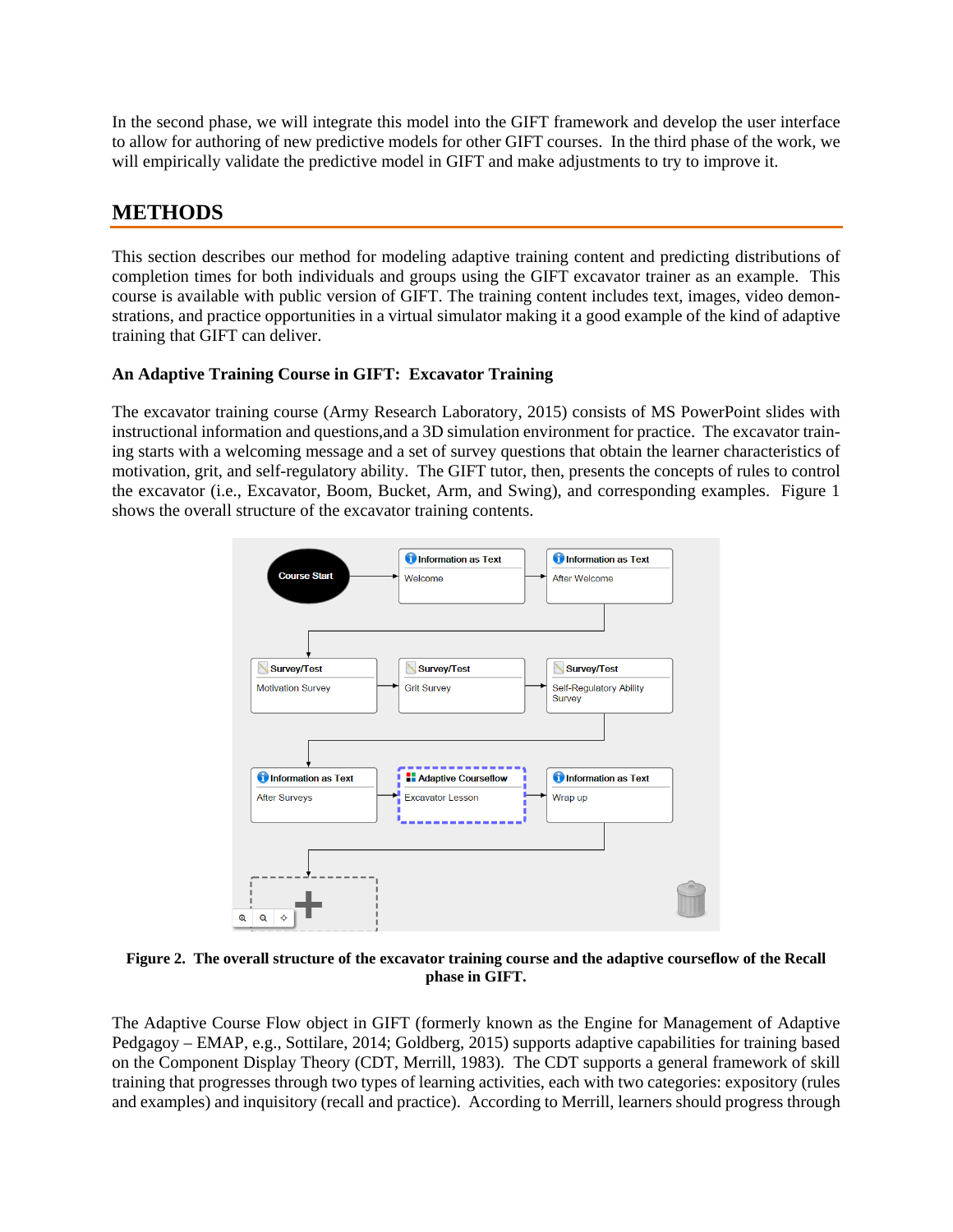In the second phase, we will integrate this model into the GIFT framework and develop the user interface to allow for authoring of new predictive models for other GIFT courses. In the third phase of the work, we will empirically validate the predictive model in GIFT and make adjustments to try to improve it.

# **METHODS**

This section describes our method for modeling adaptive training content and predicting distributions of completion times for both individuals and groups using the GIFT excavator trainer as an example. This course is available with public version of GIFT. The training content includes text, images, video demonstrations, and practice opportunities in a virtual simulator making it a good example of the kind of adaptive training that GIFT can deliver.

#### **An Adaptive Training Course in GIFT: Excavator Training**

The excavator training course (Army Research Laboratory, 2015) consists of MS PowerPoint slides with instructional information and questions,and a 3D simulation environment for practice. The excavator training starts with a welcoming message and a set of survey questions that obtain the learner characteristics of motivation, grit, and self-regulatory ability. The GIFT tutor, then, presents the concepts of rules to control the excavator (i.e., Excavator, Boom, Bucket, Arm, and Swing), and corresponding examples. Figure 1 shows the overall structure of the excavator training contents.



**Figure 2. The overall structure of the excavator training course and the adaptive courseflow of the Recall phase in GIFT.** 

The Adaptive Course Flow object in GIFT (formerly known as the Engine for Management of Adaptive Pedgagoy – EMAP, e.g., Sottilare, 2014; Goldberg, 2015) supports adaptive capabilities for training based on the Component Display Theory (CDT, Merrill, 1983). The CDT supports a general framework of skill training that progresses through two types of learning activities, each with two categories: expository (rules and examples) and inquisitory (recall and practice). According to Merrill, learners should progress through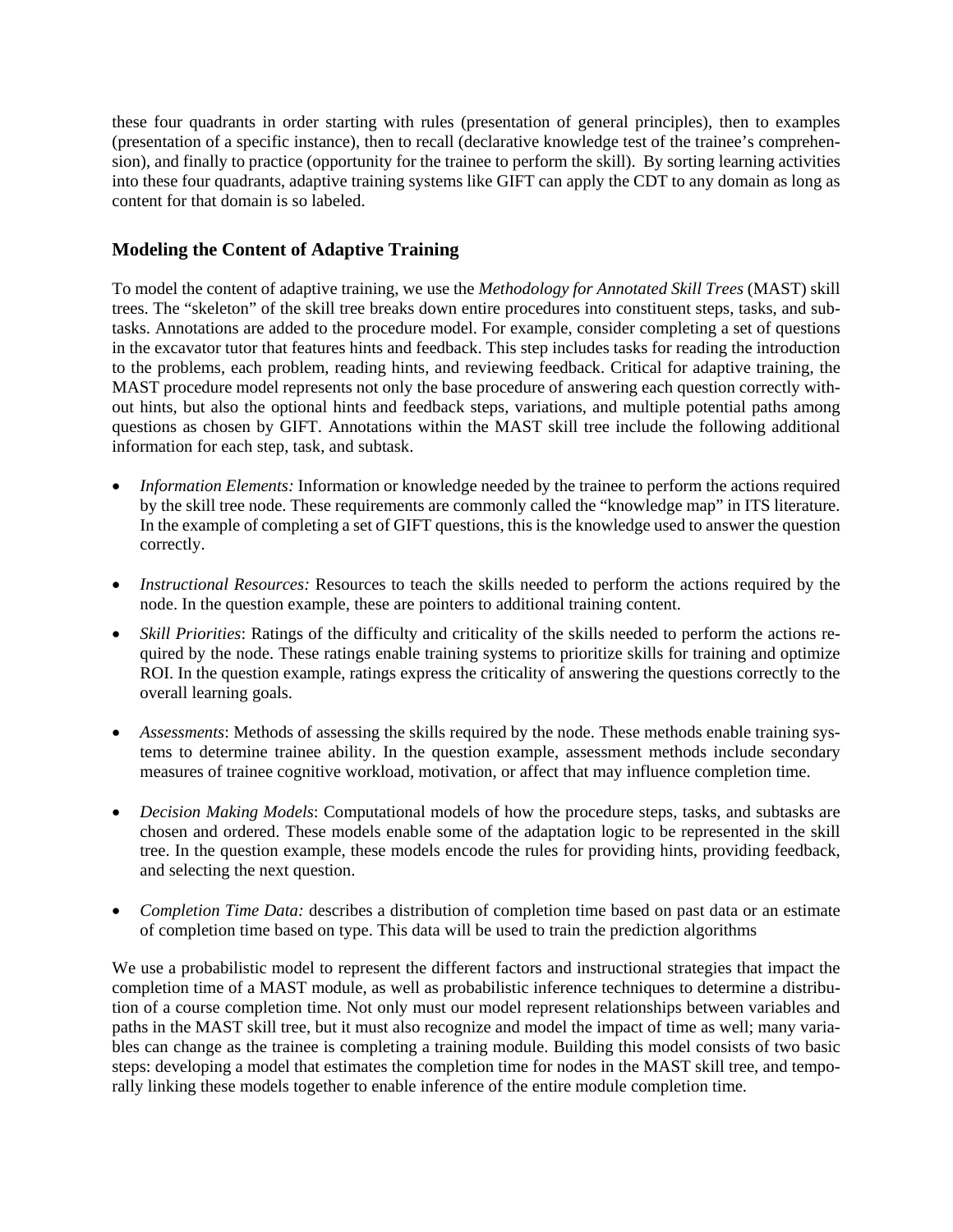these four quadrants in order starting with rules (presentation of general principles), then to examples (presentation of a specific instance), then to recall (declarative knowledge test of the trainee's comprehension), and finally to practice (opportunity for the trainee to perform the skill). By sorting learning activities into these four quadrants, adaptive training systems like GIFT can apply the CDT to any domain as long as content for that domain is so labeled.

### **Modeling the Content of Adaptive Training**

To model the content of adaptive training, we use the *Methodology for Annotated Skill Trees* (MAST) skill trees. The "skeleton" of the skill tree breaks down entire procedures into constituent steps, tasks, and subtasks. Annotations are added to the procedure model. For example, consider completing a set of questions in the excavator tutor that features hints and feedback. This step includes tasks for reading the introduction to the problems, each problem, reading hints, and reviewing feedback. Critical for adaptive training, the MAST procedure model represents not only the base procedure of answering each question correctly without hints, but also the optional hints and feedback steps, variations, and multiple potential paths among questions as chosen by GIFT. Annotations within the MAST skill tree include the following additional information for each step, task, and subtask.

- *Information Elements:* Information or knowledge needed by the trainee to perform the actions required by the skill tree node. These requirements are commonly called the "knowledge map" in ITS literature. In the example of completing a set of GIFT questions, this is the knowledge used to answer the question correctly.
- *Instructional Resources:* Resources to teach the skills needed to perform the actions required by the node. In the question example, these are pointers to additional training content.
- *Skill Priorities*: Ratings of the difficulty and criticality of the skills needed to perform the actions required by the node. These ratings enable training systems to prioritize skills for training and optimize ROI. In the question example, ratings express the criticality of answering the questions correctly to the overall learning goals.
- *Assessments*: Methods of assessing the skills required by the node. These methods enable training systems to determine trainee ability. In the question example, assessment methods include secondary measures of trainee cognitive workload, motivation, or affect that may influence completion time.
- *Decision Making Models*: Computational models of how the procedure steps, tasks, and subtasks are chosen and ordered. These models enable some of the adaptation logic to be represented in the skill tree. In the question example, these models encode the rules for providing hints, providing feedback, and selecting the next question.
- *Completion Time Data:* describes a distribution of completion time based on past data or an estimate of completion time based on type. This data will be used to train the prediction algorithms

We use a probabilistic model to represent the different factors and instructional strategies that impact the completion time of a MAST module, as well as probabilistic inference techniques to determine a distribution of a course completion time. Not only must our model represent relationships between variables and paths in the MAST skill tree, but it must also recognize and model the impact of time as well; many variables can change as the trainee is completing a training module. Building this model consists of two basic steps: developing a model that estimates the completion time for nodes in the MAST skill tree, and temporally linking these models together to enable inference of the entire module completion time.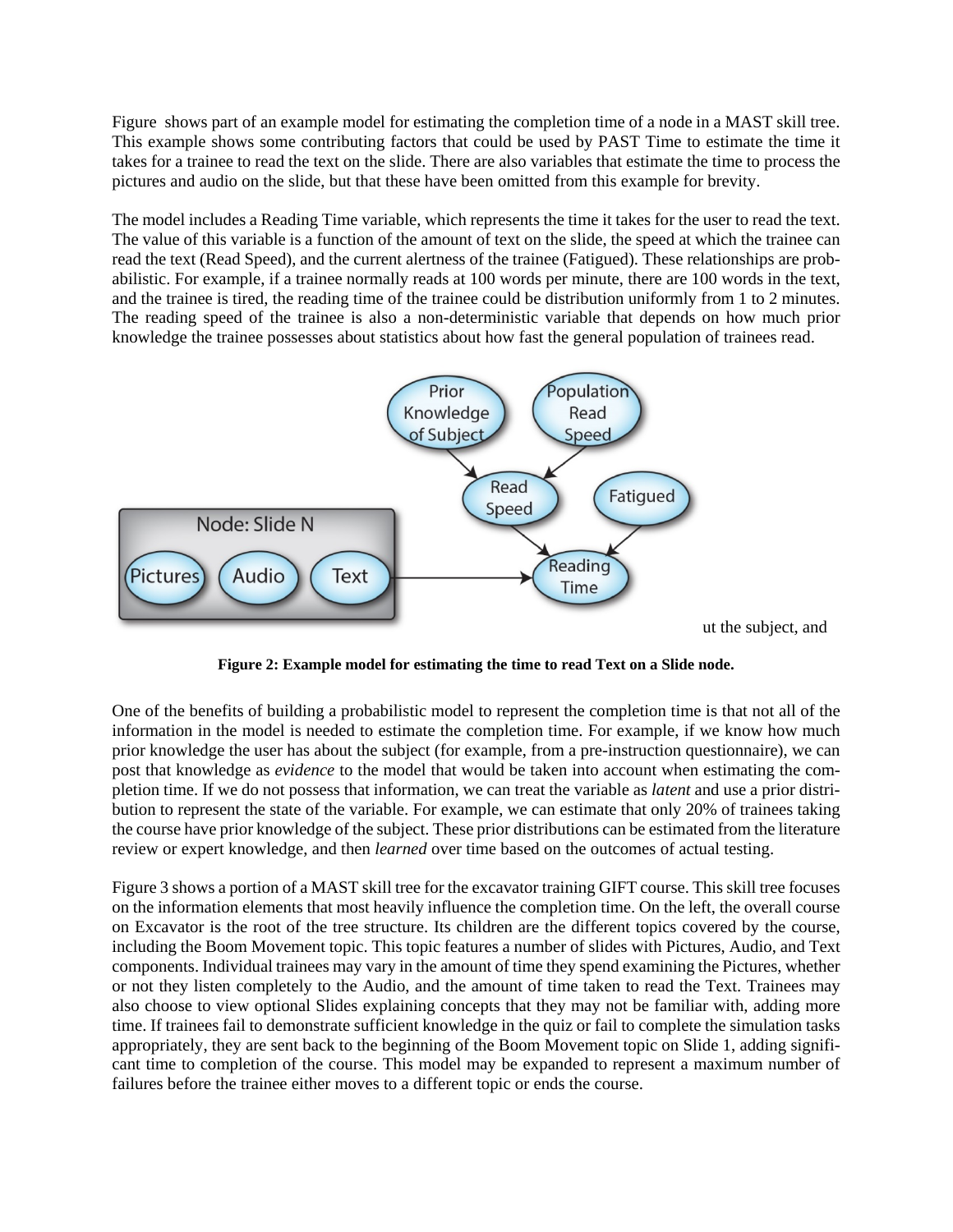[Figure s](#page-4-0)hows part of an example model for estimating the completion time of a node in a MAST skill tree. This example shows some contributing factors that could be used by PAST Time to estimate the time it takes for a trainee to read the text on the slide. There are also variables that estimate the time to process the pictures and audio on the slide, but that these have been omitted from this example for brevity.

The model includes a Reading Time variable, which represents the time it takes for the user to read the text. The value of this variable is a function of the amount of text on the slide, the speed at which the trainee can read the text (Read Speed), and the current alertness of the trainee (Fatigued). These relationships are probabilistic. For example, if a trainee normally reads at 100 words per minute, there are 100 words in the text, and the trainee is tired, the reading time of the trainee could be distribution uniformly from 1 to 2 minutes. The reading speed of the trainee is also a non-deterministic variable that depends on how much prior knowledge the trainee possesses about statistics about how fast the general population of trainees read.



**Figure 2: Example model for estimating the time to read Text on a Slide node.**

<span id="page-4-0"></span>One of the benefits of building a probabilistic model to represent the completion time is that not all of the information in the model is needed to estimate the completion time. For example, if we know how much prior knowledge the user has about the subject (for example, from a pre-instruction questionnaire), we can post that knowledge as *evidence* to the model that would be taken into account when estimating the completion time. If we do not possess that information, we can treat the variable as *latent* and use a prior distribution to represent the state of the variable. For example, we can estimate that only 20% of trainees taking the course have prior knowledge of the subject. These prior distributions can be estimated from the literature review or expert knowledge, and then *learned* over time based on the outcomes of actual testing.

[Figure 3](#page-5-0) shows a portion of a MAST skill tree for the excavator training GIFT course. This skill tree focuses on the information elements that most heavily influence the completion time. On the left, the overall course on Excavator is the root of the tree structure. Its children are the different topics covered by the course, including the Boom Movement topic. This topic features a number of slides with Pictures, Audio, and Text components. Individual trainees may vary in the amount of time they spend examining the Pictures, whether or not they listen completely to the Audio, and the amount of time taken to read the Text. Trainees may also choose to view optional Slides explaining concepts that they may not be familiar with, adding more time. If trainees fail to demonstrate sufficient knowledge in the quiz or fail to complete the simulation tasks appropriately, they are sent back to the beginning of the Boom Movement topic on Slide 1, adding significant time to completion of the course. This model may be expanded to represent a maximum number of failures before the trainee either moves to a different topic or ends the course.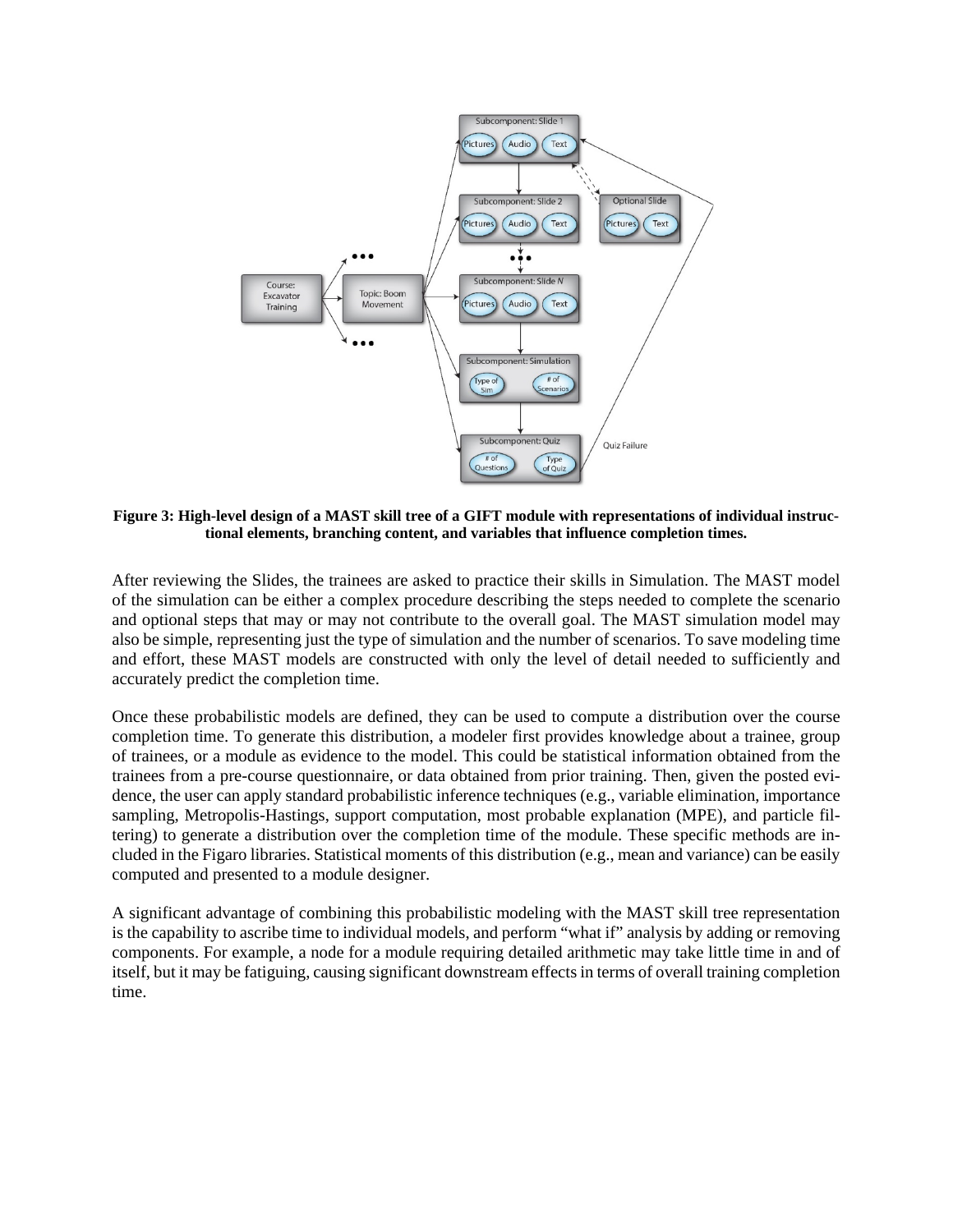

<span id="page-5-0"></span>**Figure 3: High-level design of a MAST skill tree of a GIFT module with representations of individual instructional elements, branching content, and variables that influence completion times.**

After reviewing the Slides, the trainees are asked to practice their skills in Simulation. The MAST model of the simulation can be either a complex procedure describing the steps needed to complete the scenario and optional steps that may or may not contribute to the overall goal. The MAST simulation model may also be simple, representing just the type of simulation and the number of scenarios. To save modeling time and effort, these MAST models are constructed with only the level of detail needed to sufficiently and accurately predict the completion time.

Once these probabilistic models are defined, they can be used to compute a distribution over the course completion time. To generate this distribution, a modeler first provides knowledge about a trainee, group of trainees, or a module as evidence to the model. This could be statistical information obtained from the trainees from a pre-course questionnaire, or data obtained from prior training. Then, given the posted evidence, the user can apply standard probabilistic inference techniques (e.g., variable elimination, importance sampling, Metropolis-Hastings, support computation, most probable explanation (MPE), and particle filtering) to generate a distribution over the completion time of the module. These specific methods are included in the Figaro libraries. Statistical moments of this distribution (e.g., mean and variance) can be easily computed and presented to a module designer.

A significant advantage of combining this probabilistic modeling with the MAST skill tree representation is the capability to ascribe time to individual models, and perform "what if" analysis by adding or removing components. For example, a node for a module requiring detailed arithmetic may take little time in and of itself, but it may be fatiguing, causing significant downstream effects in terms of overall training completion time.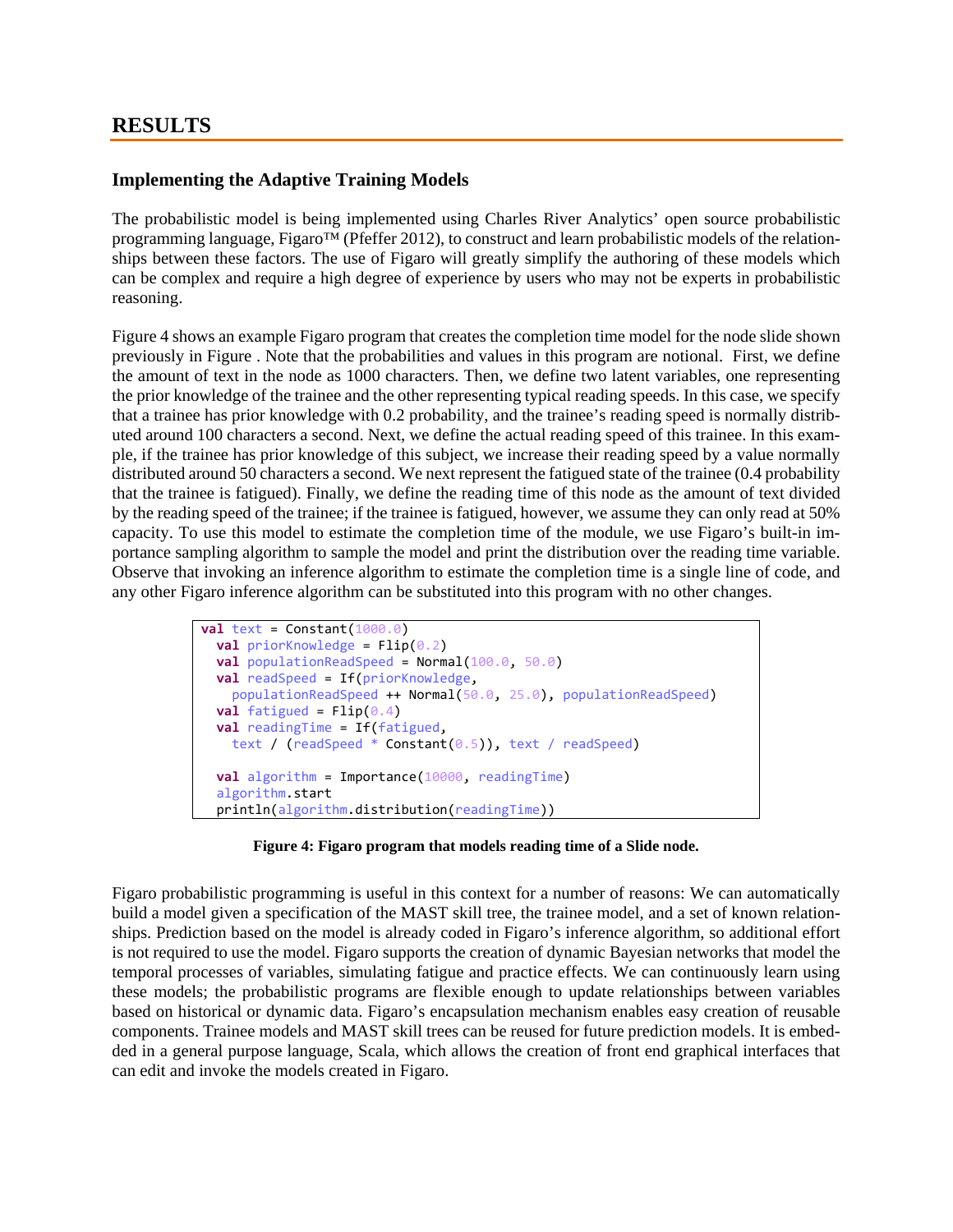## **RESULTS**

#### **Implementing the Adaptive Training Models**

The probabilistic model is being implemented using Charles River Analytics' open source probabilistic programming language, Figaro™ (Pfeffer 2012), to construct and learn probabilistic models of the relationships between these factors. The use of Figaro will greatly simplify the authoring of these models which can be complex and require a high degree of experience by users who may not be experts in probabilistic reasoning.

Figure 4 shows an example Figaro program that creates the completion time model for the node slide shown previously in [Figure .](#page-4-0) Note that the probabilities and values in this program are notional. First, we define the amount of text in the node as 1000 characters. Then, we define two latent variables, one representing the prior knowledge of the trainee and the other representing typical reading speeds. In this case, we specify that a trainee has prior knowledge with 0.2 probability, and the trainee's reading speed is normally distributed around 100 characters a second. Next, we define the actual reading speed of this trainee. In this example, if the trainee has prior knowledge of this subject, we increase their reading speed by a value normally distributed around 50 characters a second. We next represent the fatigued state of the trainee (0.4 probability that the trainee is fatigued). Finally, we define the reading time of this node as the amount of text divided by the reading speed of the trainee; if the trainee is fatigued, however, we assume they can only read at 50% capacity. To use this model to estimate the completion time of the module, we use Figaro's built-in importance sampling algorithm to sample the model and print the distribution over the reading time variable. Observe that invoking an inference algorithm to estimate the completion time is a single line of code, and any other Figaro inference algorithm can be substituted into this program with no other changes.

```
val text = Constant(1000.0)
val priorKnowledge = \text{flip}(0.2) val populationReadSpeed = Normal(100.0, 50.0)
 val readSpeed = If(priorKnowledge, 
    populationReadSpeed ++ Normal(50.0, 25.0), populationReadSpeed)
val fatigued = \text{flip}(0.4) val readingTime = If(fatigued, 
    text / (readSpeed * Constant(0.5)), text / readSpeed) 
 val algorithm = Importance(10000, readingTime)
 algorithm.start
 println(algorithm.distribution(readingTime))
```
#### **Figure 4: Figaro program that models reading time of a Slide node.**

Figaro probabilistic programming is useful in this context for a number of reasons: We can automatically build a model given a specification of the MAST skill tree, the trainee model, and a set of known relationships. Prediction based on the model is already coded in Figaro's inference algorithm, so additional effort is not required to use the model. Figaro supports the creation of dynamic Bayesian networks that model the temporal processes of variables, simulating fatigue and practice effects. We can continuously learn using these models; the probabilistic programs are flexible enough to update relationships between variables based on historical or dynamic data. Figaro's encapsulation mechanism enables easy creation of reusable components. Trainee models and MAST skill trees can be reused for future prediction models. It is embedded in a general purpose language, Scala, which allows the creation of front end graphical interfaces that can edit and invoke the models created in Figaro.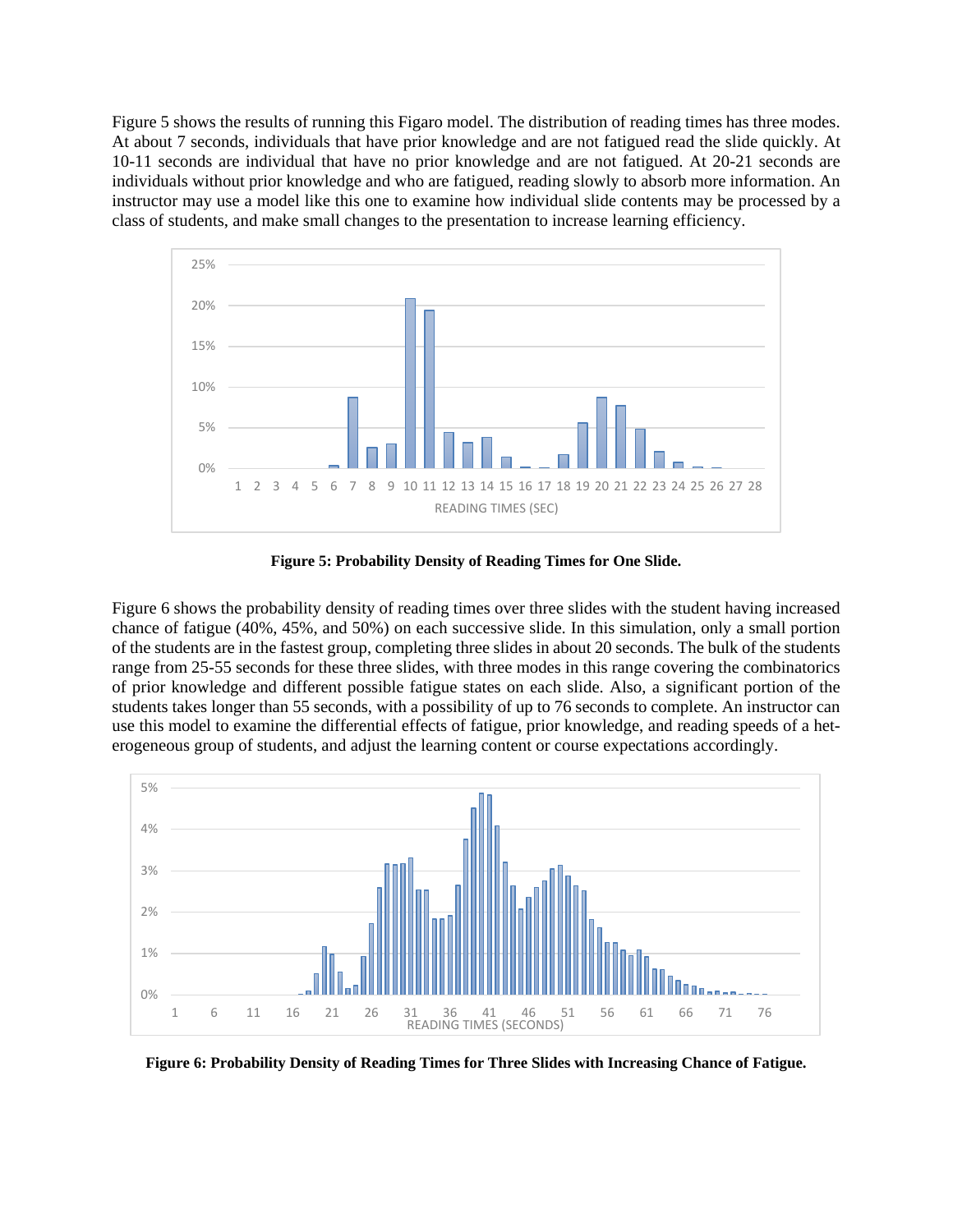Figure 5 shows the results of running this Figaro model. The distribution of reading times has three modes. At about 7 seconds, individuals that have prior knowledge and are not fatigued read the slide quickly. At 10-11 seconds are individual that have no prior knowledge and are not fatigued. At 20-21 seconds are individuals without prior knowledge and who are fatigued, reading slowly to absorb more information. An instructor may use a model like this one to examine how individual slide contents may be processed by a class of students, and make small changes to the presentation to increase learning efficiency.



**Figure 5: Probability Density of Reading Times for One Slide.**

Figure 6 shows the probability density of reading times over three slides with the student having increased chance of fatigue (40%, 45%, and 50%) on each successive slide. In this simulation, only a small portion of the students are in the fastest group, completing three slides in about 20 seconds. The bulk of the students range from 25-55 seconds for these three slides, with three modes in this range covering the combinatorics of prior knowledge and different possible fatigue states on each slide. Also, a significant portion of the students takes longer than 55 seconds, with a possibility of up to 76 seconds to complete. An instructor can use this model to examine the differential effects of fatigue, prior knowledge, and reading speeds of a heterogeneous group of students, and adjust the learning content or course expectations accordingly.



**Figure 6: Probability Density of Reading Times for Three Slides with Increasing Chance of Fatigue.**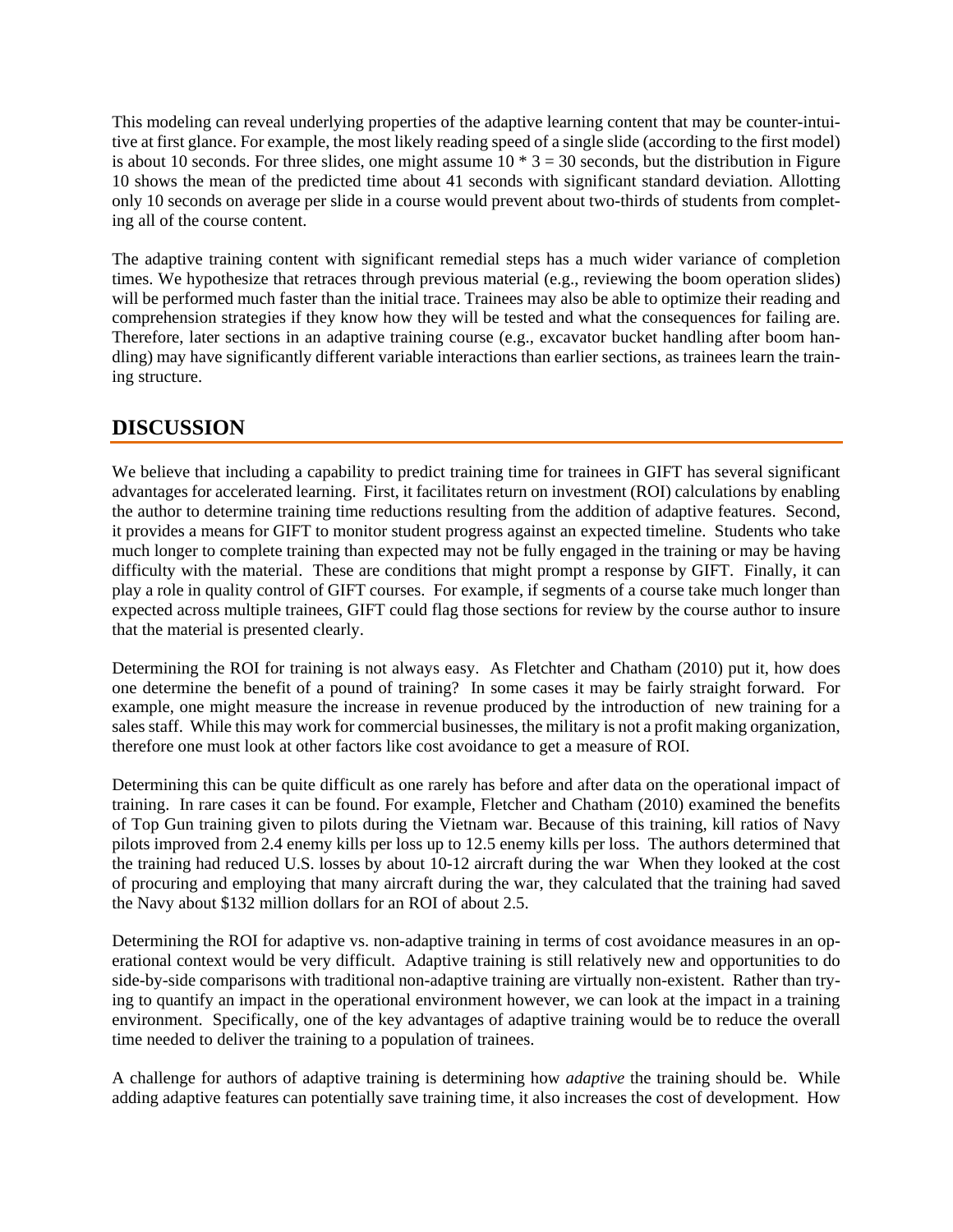This modeling can reveal underlying properties of the adaptive learning content that may be counter-intuitive at first glance. For example, the most likely reading speed of a single slide (according to the first model) is about 10 seconds. For three slides, one might assume  $10 * 3 = 30$  seconds, but the distribution in Figure 10 shows the mean of the predicted time about 41 seconds with significant standard deviation. Allotting only 10 seconds on average per slide in a course would prevent about two-thirds of students from completing all of the course content.

The adaptive training content with significant remedial steps has a much wider variance of completion times. We hypothesize that retraces through previous material (e.g., reviewing the boom operation slides) will be performed much faster than the initial trace. Trainees may also be able to optimize their reading and comprehension strategies if they know how they will be tested and what the consequences for failing are. Therefore, later sections in an adaptive training course (e.g., excavator bucket handling after boom handling) may have significantly different variable interactions than earlier sections, as trainees learn the training structure.

## **DISCUSSION**

We believe that including a capability to predict training time for trainees in GIFT has several significant advantages for accelerated learning. First, it facilitates return on investment (ROI) calculations by enabling the author to determine training time reductions resulting from the addition of adaptive features. Second, it provides a means for GIFT to monitor student progress against an expected timeline. Students who take much longer to complete training than expected may not be fully engaged in the training or may be having difficulty with the material. These are conditions that might prompt a response by GIFT. Finally, it can play a role in quality control of GIFT courses. For example, if segments of a course take much longer than expected across multiple trainees, GIFT could flag those sections for review by the course author to insure that the material is presented clearly.

Determining the ROI for training is not always easy. As Fletchter and Chatham (2010) put it, how does one determine the benefit of a pound of training? In some cases it may be fairly straight forward. For example, one might measure the increase in revenue produced by the introduction of new training for a sales staff. While this may work for commercial businesses, the military is not a profit making organization, therefore one must look at other factors like cost avoidance to get a measure of ROI.

Determining this can be quite difficult as one rarely has before and after data on the operational impact of training. In rare cases it can be found. For example, Fletcher and Chatham (2010) examined the benefits of Top Gun training given to pilots during the Vietnam war. Because of this training, kill ratios of Navy pilots improved from 2.4 enemy kills per loss up to 12.5 enemy kills per loss. The authors determined that the training had reduced U.S. losses by about 10-12 aircraft during the war When they looked at the cost of procuring and employing that many aircraft during the war, they calculated that the training had saved the Navy about \$132 million dollars for an ROI of about 2.5.

Determining the ROI for adaptive vs. non-adaptive training in terms of cost avoidance measures in an operational context would be very difficult. Adaptive training is still relatively new and opportunities to do side-by-side comparisons with traditional non-adaptive training are virtually non-existent. Rather than trying to quantify an impact in the operational environment however, we can look at the impact in a training environment. Specifically, one of the key advantages of adaptive training would be to reduce the overall time needed to deliver the training to a population of trainees.

A challenge for authors of adaptive training is determining how *adaptive* the training should be. While adding adaptive features can potentially save training time, it also increases the cost of development. How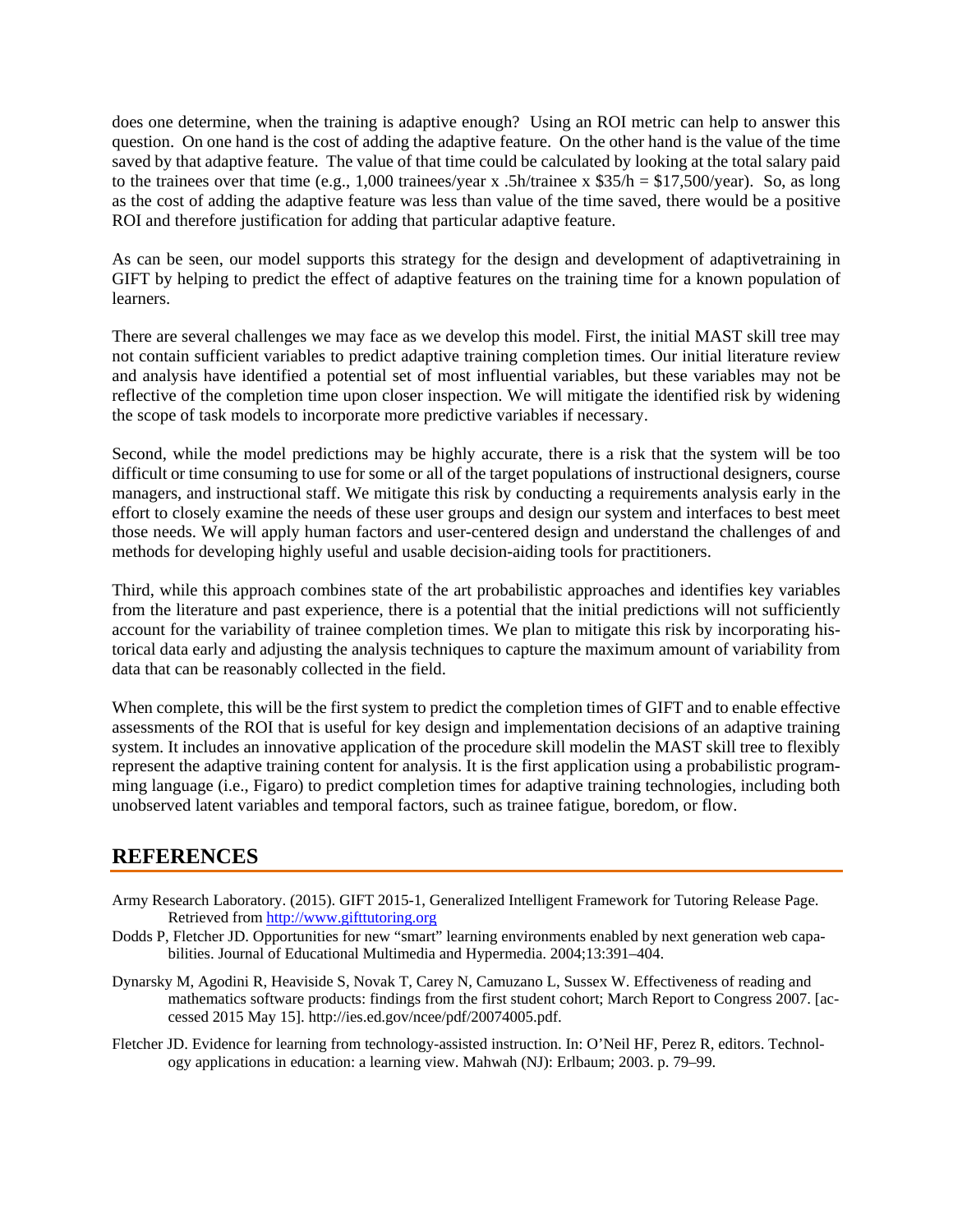does one determine, when the training is adaptive enough? Using an ROI metric can help to answer this question. On one hand is the cost of adding the adaptive feature. On the other hand is the value of the time saved by that adaptive feature. The value of that time could be calculated by looking at the total salary paid to the trainees over that time (e.g., 1,000 trainees/year x .5h/trainee x  $$35/h = $17,500/year$ ). So, as long as the cost of adding the adaptive feature was less than value of the time saved, there would be a positive ROI and therefore justification for adding that particular adaptive feature.

As can be seen, our model supports this strategy for the design and development of adaptivetraining in GIFT by helping to predict the effect of adaptive features on the training time for a known population of learners.

There are several challenges we may face as we develop this model. First, the initial MAST skill tree may not contain sufficient variables to predict adaptive training completion times. Our initial literature review and analysis have identified a potential set of most influential variables, but these variables may not be reflective of the completion time upon closer inspection. We will mitigate the identified risk by widening the scope of task models to incorporate more predictive variables if necessary.

Second, while the model predictions may be highly accurate, there is a risk that the system will be too difficult or time consuming to use for some or all of the target populations of instructional designers, course managers, and instructional staff. We mitigate this risk by conducting a requirements analysis early in the effort to closely examine the needs of these user groups and design our system and interfaces to best meet those needs. We will apply human factors and user-centered design and understand the challenges of and methods for developing highly useful and usable decision-aiding tools for practitioners.

Third, while this approach combines state of the art probabilistic approaches and identifies key variables from the literature and past experience, there is a potential that the initial predictions will not sufficiently account for the variability of trainee completion times. We plan to mitigate this risk by incorporating historical data early and adjusting the analysis techniques to capture the maximum amount of variability from data that can be reasonably collected in the field.

When complete, this will be the first system to predict the completion times of GIFT and to enable effective assessments of the ROI that is useful for key design and implementation decisions of an adaptive training system. It includes an innovative application of the procedure skill modelin the MAST skill tree to flexibly represent the adaptive training content for analysis. It is the first application using a probabilistic programming language (i.e., Figaro) to predict completion times for adaptive training technologies, including both unobserved latent variables and temporal factors, such as trainee fatigue, boredom, or flow.

## **REFERENCES**

- Army Research Laboratory. (2015). GIFT 2015-1, Generalized Intelligent Framework for Tutoring Release Page. Retrieved from [http://www.gifttutoring.org](http://www.gifttutoring.org/)
- Dodds P, Fletcher JD. Opportunities for new "smart" learning environments enabled by next generation web capabilities. Journal of Educational Multimedia and Hypermedia. 2004;13:391–404.
- Dynarsky M, Agodini R, Heaviside S, Novak T, Carey N, Camuzano L, Sussex W. Effectiveness of reading and mathematics software products: findings from the first student cohort; March Report to Congress 2007. [accessed 2015 May 15]. http://ies.ed.gov/ncee/pdf/20074005.pdf.
- Fletcher JD. Evidence for learning from technology-assisted instruction. In: O'Neil HF, Perez R, editors. Technology applications in education: a learning view. Mahwah (NJ): Erlbaum; 2003. p. 79–99.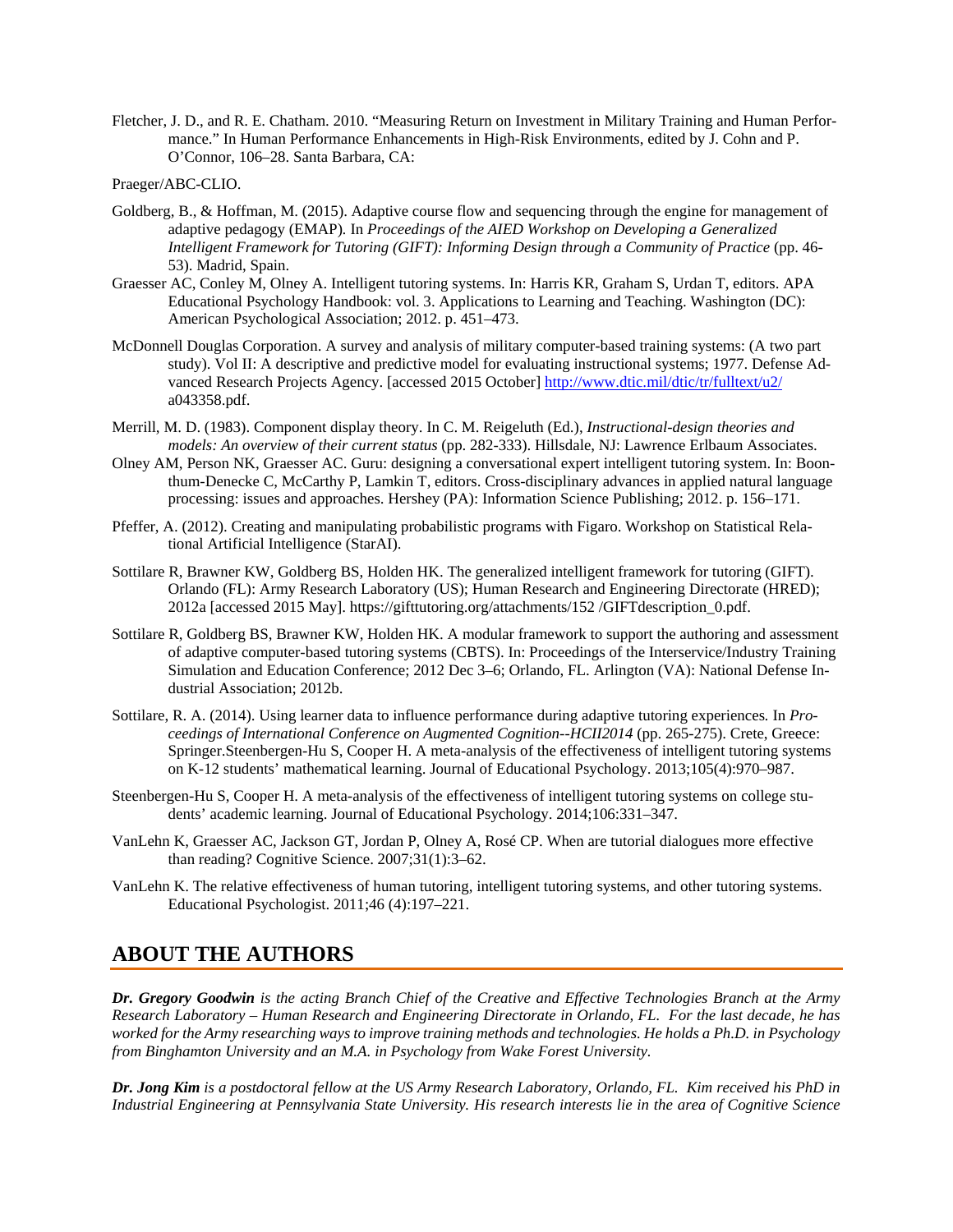Fletcher, J. D., and R. E. Chatham. 2010. "Measuring Return on Investment in Military Training and Human Performance." In Human Performance Enhancements in High-Risk Environments, edited by J. Cohn and P. O'Connor, 106–28. Santa Barbara, CA:

```
Praeger/ABC-CLIO.
```
- Goldberg, B., & Hoffman, M. (2015). Adaptive course flow and sequencing through the engine for management of adaptive pedagogy (EMAP)*.* In *Proceedings of the AIED Workshop on Developing a Generalized Intelligent Framework for Tutoring (GIFT): Informing Design through a Community of Practice* (pp. 46- 53). Madrid, Spain.
- Graesser AC, Conley M, Olney A. Intelligent tutoring systems. In: Harris KR, Graham S, Urdan T, editors. APA Educational Psychology Handbook: vol. 3. Applications to Learning and Teaching. Washington (DC): American Psychological Association; 2012. p. 451–473.
- McDonnell Douglas Corporation. A survey and analysis of military computer-based training systems: (A two part study). Vol II: A descriptive and predictive model for evaluating instructional systems; 1977. Defense Advanced Research Projects Agency. [accessed 2015 October]<http://www.dtic.mil/dtic/tr/fulltext/u2/> a043358.pdf.
- Merrill, M. D. (1983). Component display theory. In C. M. Reigeluth (Ed.), *Instructional-design theories and models: An overview of their current status* (pp. 282-333). Hillsdale, NJ: Lawrence Erlbaum Associates.
- Olney AM, Person NK, Graesser AC. Guru: designing a conversational expert intelligent tutoring system. In: Boonthum-Denecke C, McCarthy P, Lamkin T, editors. Cross-disciplinary advances in applied natural language processing: issues and approaches. Hershey (PA): Information Science Publishing; 2012. p. 156–171.
- Pfeffer, A. (2012). Creating and manipulating probabilistic programs with Figaro. Workshop on Statistical Relational Artificial Intelligence (StarAI).
- Sottilare R, Brawner KW, Goldberg BS, Holden HK. The generalized intelligent framework for tutoring (GIFT). Orlando (FL): Army Research Laboratory (US); Human Research and Engineering Directorate (HRED); 2012a [accessed 2015 May]. https://gifttutoring.org/attachments/152 /GIFTdescription\_0.pdf.
- Sottilare R, Goldberg BS, Brawner KW, Holden HK. A modular framework to support the authoring and assessment of adaptive computer-based tutoring systems (CBTS). In: Proceedings of the Interservice/Industry Training Simulation and Education Conference; 2012 Dec 3–6; Orlando, FL. Arlington (VA): National Defense Industrial Association; 2012b.
- Sottilare, R. A. (2014). Using learner data to influence performance during adaptive tutoring experiences*.* In *Proceedings of International Conference on Augmented Cognition--HCII2014* (pp. 265-275). Crete, Greece: Springer.Steenbergen-Hu S, Cooper H. A meta-analysis of the effectiveness of intelligent tutoring systems on K-12 students' mathematical learning. Journal of Educational Psychology. 2013;105(4):970–987.
- Steenbergen-Hu S, Cooper H. A meta-analysis of the effectiveness of intelligent tutoring systems on college students' academic learning. Journal of Educational Psychology. 2014;106:331–347.
- VanLehn K, Graesser AC, Jackson GT, Jordan P, Olney A, Rosé CP. When are tutorial dialogues more effective than reading? Cognitive Science. 2007;31(1):3–62.
- VanLehn K. The relative effectiveness of human tutoring, intelligent tutoring systems, and other tutoring systems. Educational Psychologist. 2011;46 (4):197–221.

# **ABOUT THE AUTHORS**

*Dr. Gregory Goodwin is the acting Branch Chief of the Creative and Effective Technologies Branch at the Army Research Laboratory – Human Research and Engineering Directorate in Orlando, FL. For the last decade, he has* worked for the Army researching ways to improve training methods and technologies. He holds a Ph.D. in Psychology *from Binghamton University and an M.A. in Psychology from Wake Forest University.*

*Dr. Jong Kim is a postdoctoral fellow at the US Army Research Laboratory, Orlando, FL. Kim received his PhD in Industrial Engineering at Pennsylvania State University. His research interests lie in the area of Cognitive Science*